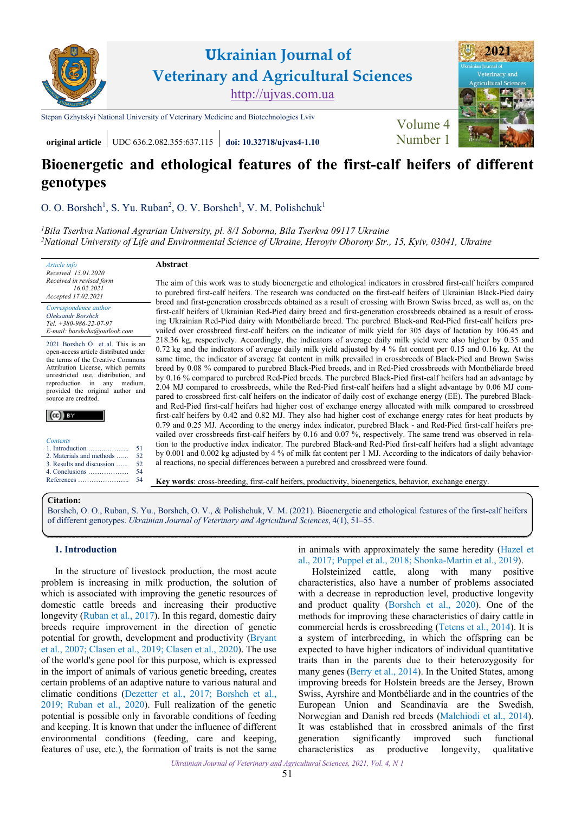

**Ukrainian Journal of Veterinary and Agricultural Sciences** <http://ujvas.com.ua>

[Stepan Gzhytskyi National University of Veterinary Medicine and Biotechnologies Lviv](https://lvet.edu.ua/) Volume 4



**original article** UDC 636.2.082.355:637.115 **[doi: 10.32718/ujvas4-1.10](https://doi.org/10.32718/ujvas4-1.10)** [Number 1](https://ujvas.com.ua/index.php/journal/issue/view/9)

# **Bioenergetic and ethological features of the first-calf heifers of different genotypes**

[O. O. Borshch](https://orcid.org/0000-0002-8450-2109)<sup>1</sup>, S. Yu. Ruban<sup>2</sup>, O. V. Borshch<sup>1</sup>, V. M. Polishchuk<sup>1</sup>

*1 [Bila Tserkva National Agrarian University, pl. 8/1 Soborna, Bila Tserkva 09117 Ukraine](https://btsau.edu.ua) 2 [National University of Life and Environmental Science of Ukraine, Heroyiv Oborony Str., 15, Kyiv, 03041, Ukraine](https://nubip.edu.ua)* 

**Abstract** 

*Received 15.01.2020 Received in revised form 16.02.2021 Accepted 17.02.2021* 

*Article info* 

*Correspondence author [Oleksandr Borshch](https://scholar.google.com.ua/citations?hl=uk&user=yzRSy_AAAAAJ) Tel. +380-986-22-07-97 E-mail: borshcha@outlook.com*

2021 Borshch O. et al. This is an open-access article distributed under the terms of the Creative Commons Attribution License, which permits unrestricted use, distribution, and reproduction in any medium, provided the original author and source are credited.

|--|

|  | <b>Contents</b> |  |
|--|-----------------|--|
|  |                 |  |

| 2. Materials and methods  |
|---------------------------|
| 3. Results and discussion |
| 4. Conclusions            |

[4. Conclusions ………………](#page-3-0) [References …………………..](#page-3-0)

The aim of this work was to study bioenergetic and ethological indicators in crossbred first-calf heifers compared to purebred first-calf heifers. The research was conducted on the first-calf heifers of Ukrainian Black-Pied dairy breed and first-generation crossbreeds obtained as a result of crossing with Brown Swiss breed, as well as, on the first-calf heifers of Ukrainian Red-Pied dairy breed and first-generation crossbreeds obtained as a result of crossing Ukrainian Red-Pied dairy with Montbéliarde breed. The purebred Black-and Red-Pied first-calf heifers prevailed over crossbreed first-calf heifers on the indicator of milk yield for 305 days of lactation by 106.45 and 218.36 kg, respectively. Accordingly, the indicators of average daily milk yield were also higher by 0.35 and 0.72 kg and the indicators of average daily milk yield adjusted by 4 % fat content per 0.15 and 0.16 kg. At the same time, the indicator of average fat content in milk prevailed in crossbreeds of Black-Pied and Brown Swiss breed by 0.08 % compared to purebred Black-Pied breeds, and in Red-Pied crossbreeds with Montbéliarde breed by 0.16 % compared to purebred Red-Pied breeds. The purebred Black-Pied first-calf heifers had an advantage by 2.04 MJ compared to crossbreeds, while the Red-Pied first-calf heifers had a slight advantage by 0.06 MJ compared to crossbreed first-calf heifers on the indicator of daily cost of exchange energy (EE). The purebred Blackand Red-Pied first-calf heifers had higher cost of exchange energy allocated with milk compared to crossbreed first-calf heifers by 0.42 and 0.82 MJ. They also had higher cost of exchange energy rates for heat products by 0.79 and 0.25 MJ. According to the energy index indicator, purebred Black - and Red-Pied first-calf heifers prevailed over crossbreeds first-calf heifers by 0.16 and 0.07 %, respectively. The same trend was observed in relation to the productive index indicator. The purebred Black-and Red-Pied first-calf heifers had a slight advantage by 0.001 and 0.002 kg adjusted by 4 % of milk fat content per 1 MJ. According to the indicators of daily behavioral reactions, no special differences between a purebred and crossbreed were found.

**Key words**: cross-breeding, first-calf heifers, productivity, bioenergetics, behavior, exchange energy.

#### **Citation:**

[Borshch, O. O., Ruban, S. Yu., Borshch, O. V., & Polishchuk, V. M. \(2021\). Bioenergetic and ethological features of the first-calf heifers](https://doi.org/10.32718/ujvas4-1.10) of different genotypes. *Ukrainian Journal of Veterinary and Agricultural Sciences*, 4(1), 51–55.

# **1. Introduction**

In the structure of livestock production, the most acute problem is increasing in milk production, the solution of which is associated with improving the genetic resources of domestic cattle breeds and increasing their productive longevity [\(Ruban et al., 2017\)](#page-4-0). In this regard, domestic dairy breeds require improvement in the direction of genetic potential for growth, development and productivity [\(Bryant](#page-3-0) [et al., 2007](#page-3-0); [Clasen et al., 2019; Clasen et al., 2020\)](#page-3-0). The use of the world's gene pool for this purpose, which is expressed in the import of animals of various genetic breeding**,** creates certain problems of an adaptive nature to various natural and climatic conditions [\(Dezetter et al., 2017;](#page-4-0) [Borshch et al.,](#page-3-0) [2019;](#page-3-0) [Ruban et al., 2020](#page-4-0)). Full realization of the genetic potential is possible only in favorable conditions of feeding and keeping. It is known that under the influence of different environmental conditions (feeding, care and keeping, features of use, etc.), the formation of traits is not the same

in animals with approximately the same heredity ([Hazel et](#page-4-0)  [al., 2017;](#page-4-0) [Puppel et al., 2018;](#page-3-0) [Shonka-Martin et al., 2019\)](#page-4-0).

Holsteinized cattle, along with many positive characteristics, also have a number of problems associated with a decrease in reproduction level, productive longevity and product quality [\(Borshch et al., 2020](#page-3-0)). One of the methods for improving these characteristics of dairy cattle in commercial herds is crossbreeding [\(Tetens et al., 2014\)](#page-4-0). It is a system of interbreeding, in which the offspring can be expected to have higher indicators of individual quantitative traits than in the parents due to their heterozygosity for many genes ([Berry et al., 2014\)](#page-3-0). In the United States, among improving breeds for Holstein breeds are the Jersey, Brown Swiss, Ayrshire and Montbéliarde and in the countries of the European Union and Scandinavia are the Swedish, Norwegian and Danish red breeds ([Malchiodi et al., 2014\)](#page-4-0). It was established that in crossbred animals of the first generation significantly improved such functional characteristics as productive longevity, qualitative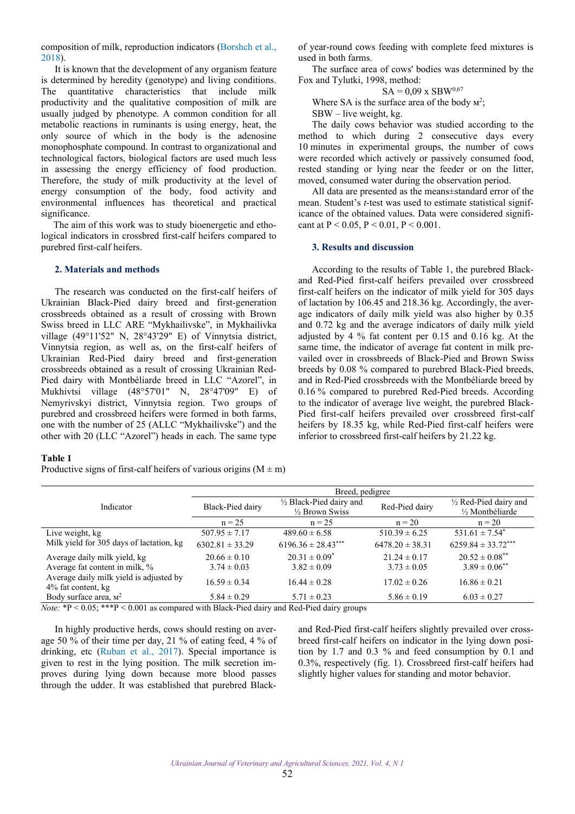<span id="page-1-0"></span>composition of milk, reproduction indicators [\(Borshch et al.,](#page-3-0) [2018\)](#page-3-0).

It is known that the development of any organism feature is determined by heredity (genotype) and living conditions. The quantitative characteristics that include milk productivity and the qualitative composition of milk are usually judged by phenotype. A common condition for all metabolic reactions in ruminants is using energy, heat, the only source of which in the body is the adenosine monophosphate compound. In contrast to organizational and technological factors, biological factors are used much less in assessing the energy efficiency of food production. Therefore, the study of milk productivity at the level of energy consumption of the body, food activity and environmental influences has theoretical and practical significance.

The aim of this work was to study bioenergetic and ethological indicators in crossbred first-calf heifers compared to purebred first-calf heifers.

### **2. Materials and methods**

The research was conducted on the first-calf heifers of Ukrainian Black-Pied dairy breed and first-generation crossbreeds obtained as a result of crossing with Brown Swiss breed in LLC ARE "Mykhailivske", in Mykhailivka village (49°11'52" N, 28°43'29" E) of Vinnytsia district, Vinnytsia region, as well as, on the first-calf heifers of Ukrainian Red-Pied dairy breed and first-generation crossbreeds obtained as a result of crossing Ukrainian Red-Pied dairy with Montbéliarde breed in LLC "Azorel", in Mukhivtsi village (48°57'01" N, 28°47'09" E) of Nemyrivskyi district, Vinnytsia region. Two groups of purebred and crossbreed heifers were formed in both farms, one with the number of 25 (ALLC "Mykhailivske") and the other with 20 (LLC "Azorel") heads in each. The same type

#### **Table 1**

Productive signs of first-calf heifers of various origins  $(M \pm m)$ 

of year-round cows feeding with complete feed mixtures is used in both farms.

The surface area of cows' bodies was determined by the Fox and Tylutki, 1998, method:

$$
SA = 0.09 \times SBW^{0.67}
$$

Where SA is the surface area of the body  $M^2$ ;

SBW – live weight, kg.

The daily cows behavior was studied according to the method to which during 2 consecutive days every 10 minutes in experimental groups, the number of cows were recorded which actively or passively consumed food, rested standing or lying near the feeder or on the litter, moved, consumed water during the observation period.

All data are presented as the means±standard error of the mean. Student's *t*-test was used to estimate statistical significance of the obtained values. Data were considered significant at  $P < 0.05$ ,  $P < 0.01$ ,  $P < 0.001$ .

#### **3. Results and discussion**

According to the results of Table 1, the purebred Blackand Red-Pied first-calf heifers prevailed over crossbreed first-calf heifers on the indicator of milk yield for 305 days of lactation by 106.45 and 218.36 kg. Accordingly, the average indicators of daily milk yield was also higher by 0.35 and 0.72 kg and the average indicators of daily milk yield adjusted by 4 % fat content per 0.15 and 0.16 kg. At the same time, the indicator of average fat content in milk prevailed over in crossbreeds of Black-Pied and Brown Swiss breeds by 0.08 % compared to purebred Black-Pied breeds, and in Red-Pied crossbreeds with the Montbéliarde breed by 0.16 % compared to purebred Red-Pied breeds. According to the indicator of average live weight, the purebred Black-Pied first-calf heifers prevailed over crossbreed first-calf heifers by 18.35 kg, while Red-Pied first-calf heifers were inferior to crossbreed first-calf heifers by 21.22 kg.

|                                                                                                                         | Breed, pedigree     |                                    |                     |                               |  |
|-------------------------------------------------------------------------------------------------------------------------|---------------------|------------------------------------|---------------------|-------------------------------|--|
| Indicator                                                                                                               | Black-Pied dairy    | $\frac{1}{2}$ Black-Pied dairy and | Red-Pied dairy      | 1/2 Red-Pied dairy and        |  |
|                                                                                                                         |                     | $\frac{1}{2}$ Brown Swiss          |                     | 1/2 Montbéliarde              |  |
|                                                                                                                         | $n = 25$            | $n = 25$                           | $n = 20$            | $n = 20$                      |  |
| Live weight, kg                                                                                                         | $507.95 \pm 7.17$   | $489.60 \pm 6.58$                  | $510.39 \pm 6.25$   | $531.61 \pm 7.54^*$           |  |
| Milk yield for 305 days of lactation, kg                                                                                | $6302.81 \pm 33.29$ | $6196.36 \pm 28.43***$             | $6478.20 \pm 38.31$ | $6259.84 \pm 33.72***$        |  |
| Average daily milk yield, kg                                                                                            | $20.66 \pm 0.10$    | $20.31 \pm 0.09^*$                 | $21.24 \pm 0.17$    | $20.52 \pm 0.08$ **           |  |
| Average fat content in milk, %                                                                                          | $3.74 \pm 0.03$     | $3.82 \pm 0.09$                    | $3.73 \pm 0.05$     | $3.89 \pm 0.06$ <sup>**</sup> |  |
| Average daily milk yield is adjusted by                                                                                 | $16.59 \pm 0.34$    | $16.44 \pm 0.28$                   | $17.02 \pm 0.26$    | $16.86 \pm 0.21$              |  |
| 4% fat content, kg                                                                                                      |                     |                                    |                     |                               |  |
| Body surface area, $M^2$                                                                                                | $5.84 \pm 0.29$     | $5.71 \pm 0.23$                    | $5.86 \pm 0.19$     | $6.03 \pm 0.27$               |  |
| $N_{\text{obs}}$ : $\Phi > 0.05$ : $\ast \ast \Phi > 0.001$ as compared with Black Biad dairy and Bed Biad dairy groups |                     |                                    |                     |                               |  |

*Note:* \*P < 0.05; \*\*\*P < 0.001 as compared with Black-Pied dairy and Red-Pied dairy groups

In highly productive herds, cows should resting on average 50 % of their time per day, 21 % of eating feed, 4 % of drinking, etc ([Ruban et al., 2017](#page-4-0)). Special importance is given to rest in the lying position. The milk secretion improves during lying down because more blood passes through the udder. It was established that purebred Black-

and Red-Pied first-calf heifers slightly prevailed over crossbreed first-calf heifers on indicator in the lying down position by 1.7 and 0.3 % and feed consumption by 0.1 and 0.3%, respectively (fig. 1). Crossbreed first-calf heifers had slightly higher values for standing and motor behavior.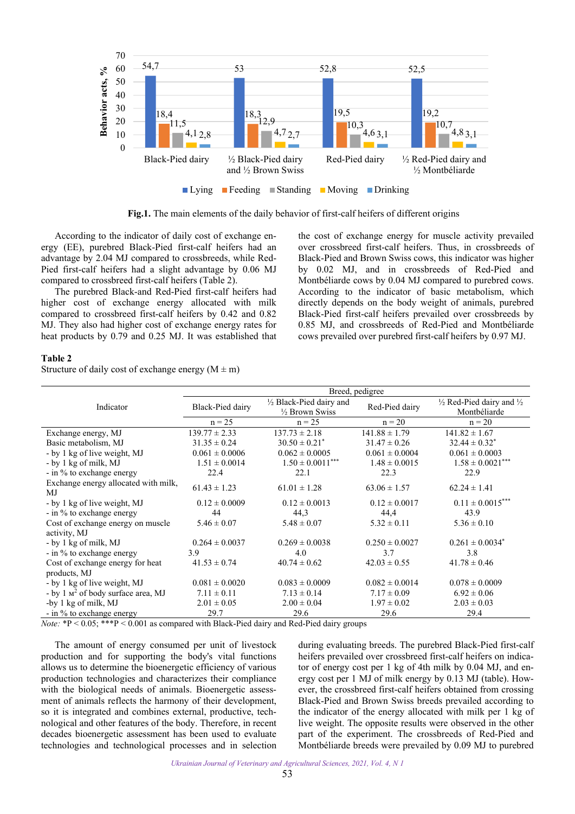

**Fig.1.** The main elements of the daily behavior of first-calf heifers of different origins

According to the indicator of daily cost of exchange energy (EE), purebred Black-Pied first-calf heifers had an advantage by 2.04 MJ compared to crossbreeds, while Red-Pied first-calf heifers had a slight advantage by 0.06 MJ compared to crossbreed first-calf heifers (Table 2).

The purebred Black-and Red-Pied first-calf heifers had higher cost of exchange energy allocated with milk compared to crossbreed first-calf heifers by 0.42 and 0.82 MJ. They also had higher cost of exchange energy rates for heat products by 0.79 and 0.25 MJ. It was established that the cost of exchange energy for muscle activity prevailed over crossbreed first-calf heifers. Thus, in crossbreeds of Black-Pied and Brown Swiss cows, this indicator was higher by 0.02 MJ, and in crossbreeds of Red-Pied and Montbéliarde cows by 0.04 MJ compared to purebred cows. According to the indicator of basic metabolism, which directly depends on the body weight of animals, purebred Black-Pied first-calf heifers prevailed over crossbreeds by 0.85 MJ, and crossbreeds of Red-Pied and Montbéliarde cows prevailed over purebred first-calf heifers by 0.97 MJ.

#### **Table 2**

Structure of daily cost of exchange energy  $(M \pm m)$ 

|                                                      | Breed, pedigree             |                          |                    |                                                |  |
|------------------------------------------------------|-----------------------------|--------------------------|--------------------|------------------------------------------------|--|
| Indicator                                            | Black-Pied dairy            | 1/2 Black-Pied dairy and | Red-Pied dairy     | $\frac{1}{2}$ Red-Pied dairy and $\frac{1}{2}$ |  |
|                                                      |                             | 1/2 Brown Swiss          |                    | Montbéliarde                                   |  |
|                                                      | $n = 25$                    | $n = 25$                 | $n = 20$           | $n = 20$                                       |  |
| Exchange energy, MJ                                  | $139.77 \pm 2.33$           | $137.73 \pm 2.18$        | $141.88 \pm 1.79$  | $141.82 \pm 1.67$                              |  |
| Basic metabolism, MJ                                 | $31.35 \pm 0.24$            | $30.50 \pm 0.21^*$       | $31.47 \pm 0.26$   | $32.44 \pm 0.32^*$                             |  |
| - by 1 kg of live weight, MJ                         | $0.061 \pm 0.0006$          | $0.062 \pm 0.0005$       | $0.061 \pm 0.0004$ | $0.061 \pm 0.0003$                             |  |
| - by 1 kg of milk, MJ                                | $1.51 \pm 0.0014$           | $1.50\pm0.0011^{***}$    | $1.48 \pm 0.0015$  | $1.58 \pm 0.0021***$                           |  |
| - in % to exchange energy                            | 22.4                        | 22.1                     | 22.3               | 22.9                                           |  |
| Exchange energy allocated with milk,                 | $61.43 \pm 1.23$            | $61.01 \pm 1.28$         | $63.06 \pm 1.57$   | $62.24 \pm 1.41$                               |  |
| MJ                                                   |                             |                          |                    |                                                |  |
| - by 1 kg of live weight, MJ                         | $0.12 \pm 0.0009$           | $0.12 \pm 0.0013$        | $0.12 \pm 0.0017$  | $0.11 \pm 0.0015***$                           |  |
| - in % to exchange energy                            | 44                          | 44,3                     | 44,4               | 43.9                                           |  |
| Cost of exchange energy on muscle                    | $5.46 \pm 0.07$             | $5.48 \pm 0.07$          | $5.32 \pm 0.11$    | $5.36 \pm 0.10$                                |  |
| activity, MJ                                         |                             |                          |                    |                                                |  |
| - by 1 kg of milk, MJ                                | $0.264 \pm 0.0037$          | $0.269 \pm 0.0038$       | $0.250 \pm 0.0027$ | $0.261 \pm 0.0034^*$                           |  |
| - in % to exchange energy                            | 3.9                         | 4.0                      | 3.7                | 3.8                                            |  |
| Cost of exchange energy for heat                     | $41.53 \pm 0.74$            | $40.74 \pm 0.62$         | $42.03 \pm 0.55$   | $41.78 \pm 0.46$                               |  |
| products, MJ                                         |                             |                          |                    |                                                |  |
| - by 1 kg of live weight, MJ                         | $0.081 \pm 0.0020$          | $0.083 \pm 0.0009$       | $0.082 \pm 0.0014$ | $0.078 \pm 0.0009$                             |  |
| - by $1 \text{ m}^2$ of body surface area, MJ        | $7.11 \pm 0.11$             | $7.13 \pm 0.14$          | $7.17 \pm 0.09$    | $6.92 \pm 0.06$                                |  |
| -by 1 kg of milk, MJ                                 | $2.01 \pm 0.05$             | $2.00 \pm 0.04$          | $1.97 \pm 0.02$    | $2.03 \pm 0.03$                                |  |
| - in % to exchange energy                            | 29.7                        | 29.6                     | 29.6               | 29.4                                           |  |
| $\mathbf{r}$ .<br>$4D \times 007$ $444D \times 0001$ | $1 - 1$ m $1 - 1$ m $1 + 1$ | $1.72 \pm 1.72$          |                    |                                                |  |

*Note:* \*P < 0.05; \*\*\*P < 0.001 as compared with Black-Pied dairy and Red-Pied dairy groups

The amount of energy consumed per unit of livestock production and for supporting the body's vital functions allows us to determine the bioenergetic efficiency of various production technologies and characterizes their compliance with the biological needs of animals. Bioenergetic assessment of animals reflects the harmony of their development, so it is integrated and combines external, productive, technological and other features of the body. Therefore, in recent decades bioenergetic assessment has been used to evaluate technologies and technological processes and in selection

during evaluating breeds. The purebred Black-Pied first-calf heifers prevailed over crossbreed first-calf heifers on indicator of energy cost per 1 kg of 4th milk by 0.04 MJ, and energy cost per 1 MJ of milk energy by 0.13 MJ (table). However, the crossbreed first-calf heifers obtained from crossing Black-Pied and Brown Swiss breeds prevailed according to the indicator of the energy allocated with milk per 1 kg of live weight. The opposite results were observed in the other part of the experiment. The crossbreeds of Red-Pied and Montbéliarde breeds were prevailed by 0.09 MJ to purebred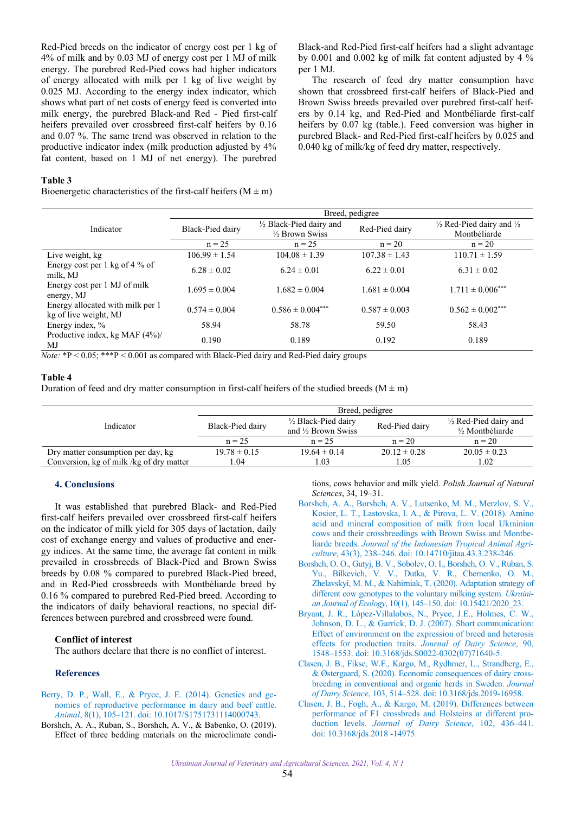<span id="page-3-0"></span>Red-Pied breeds on the indicator of energy cost per 1 kg of 4% of milk and by 0.03 MJ of energy cost per 1 MJ of milk energy. The purebred Red-Pied cows had higher indicators of energy allocated with milk per 1 kg of live weight by 0.025 MJ. According to the energy index indicator, which shows what part of net costs of energy feed is converted into milk energy, the purebred Black-and Red - Pied first-calf heifers prevailed over crossbreed first-calf heifers by 0.16 and 0.07 %. The same trend was observed in relation to the productive indicator index (milk production adjusted by 4% fat content, based on 1 MJ of net energy). The purebred

Black-and Red-Pied first-calf heifers had a slight advantage by 0.001 and 0.002 kg of milk fat content adjusted by 4 % per 1 MJ.

The research of feed dry matter consumption have shown that crossbreed first-calf heifers of Black-Pied and Brown Swiss breeds prevailed over purebred first-calf heifers by 0.14 kg, and Red-Pied and Montbéliarde first-calf heifers by 0.07 kg (table.). Feed conversion was higher in purebred Black- and Red-Pied first-calf heifers by 0.025 and 0.040 kg of milk/kg of feed dry matter, respectively.

#### **Table 3**

Bioenergetic characteristics of the first-calf heifers  $(M \pm m)$ 

|                                                           | Breed, pedigree   |                                                       |                   |                                                                |  |
|-----------------------------------------------------------|-------------------|-------------------------------------------------------|-------------------|----------------------------------------------------------------|--|
| Indicator                                                 | Black-Pied dairy  | 1/2 Black-Pied dairy and<br>$\frac{1}{2}$ Brown Swiss | Red-Pied dairy    | $\frac{1}{2}$ Red-Pied dairy and $\frac{1}{2}$<br>Montbéliarde |  |
|                                                           | $n = 25$          | $n = 25$                                              | $n = 20$          | $n = 20$                                                       |  |
| Live weight, kg                                           | $106.99 \pm 1.54$ | $104.08 \pm 1.39$                                     | $107.38 \pm 1.43$ | $110.71 \pm 1.59$                                              |  |
| Energy cost per 1 kg of 4 % of<br>milk, MJ                | $6.28 \pm 0.02$   | $6.24 \pm 0.01$                                       | $6.22 \pm 0.01$   | $6.31 \pm 0.02$                                                |  |
| Energy cost per 1 MJ of milk<br>energy, MJ                | $1.695 \pm 0.004$ | $1.682 \pm 0.004$                                     | $1.681 \pm 0.004$ | $1.711 \pm 0.006***$                                           |  |
| Energy allocated with milk per 1<br>kg of live weight, MJ | $0.574 \pm 0.004$ | $0.586 \pm 0.004***$                                  | $0.587 \pm 0.003$ | $0.562 \pm 0.002^{***}$                                        |  |
| Energy index, %                                           | 58.94             | 58.78                                                 | 59.50             | 58.43                                                          |  |
| Productive index, kg MAF (4%)/<br>MJ                      | 0.190             | 0.189                                                 | 0.192             | 0.189                                                          |  |

*Note:*  $*P < 0.05$ ;  $**P < 0.001$  as compared with Black-Pied dairy and Red-Pied dairy groups

# **Table 4**

Duration of feed and dry matter consumption in first-calf heifers of the studied breeds ( $M \pm m$ )

|                                          | Breed, pedigree  |                                                       |                  |                                            |  |
|------------------------------------------|------------------|-------------------------------------------------------|------------------|--------------------------------------------|--|
| Indicator                                | Black-Pied dairy | 1/2 Black-Pied dairy<br>and $\frac{1}{2}$ Brown Swiss | Red-Pied dairy   | 1/2 Red-Pied dairy and<br>1/2 Montbéliarde |  |
|                                          | $n = 25$         | $n = 25$                                              | $n = 20$         | $n = 20$                                   |  |
| Dry matter consumption per day, kg       | $19.78 \pm 0.15$ | $19.64 \pm 0.14$                                      | $20.12 \pm 0.28$ | $20.05 \pm 0.23$                           |  |
| Conversion, kg of milk /kg of dry matter | 0.04             | 0.03                                                  | 1.05             | 1.02                                       |  |

## **4. Conclusions**

It was established that purebred Black- and Red-Pied first-calf heifers prevailed over crossbreed first-calf heifers on the indicator of milk yield for 305 days of lactation, daily cost of exchange energy and values of productive and energy indices. At the same time, the average fat content in milk prevailed in crossbreeds of Black-Pied and Brown Swiss breeds by 0.08 % compared to purebred Black-Pied breed, and in Red-Pied crossbreeds with Montbéliarde breed by 0.16 % compared to purebred Red-Pied breed. According to the indicators of daily behavioral reactions, no special differences between purebred and crossbreed were found.

### **Conflict of interest**

The authors declare that there is no conflict of interest.

#### **References**

- [Berry, D. P., Wall, E., & Pryce, J. E. \(2014\). Genetics and ge](https://doi.org/10.1017/S1751731114000743)nomics of reproductive performance in dairy and beef cattle. *Animal*, 8(1), 105–121. doi: 10.1017/S1751731114000743.
- Borshch, A. A., Ruban, S., Borshch, A. V., & Babenko, O. (2019). Effect of three bedding materials on the microclimate condi-

tions, cows behavior and milk yield. *Polish Journal of Natural Sciences*, 34, 19–31.

- [Borshch, A. A., Borshch, A. V., Lutsenko, M. M., Merzlov, S. V.,](https://doi.org/10.14710/jitaa.43.3.238-246)  Kosior, L. T., Lastovska, I. A., & Pirova, L. V. (2018). Amino acid and mineral composition of milk from local Ukrainian cows and their crossbreedings with Brown Swiss and Montbeliarde breeds. *Journal of the Indonesian Tropical Animal Agriculture*, 43(3), 238–246. doi: 10.14710/jitaa.43.3.238-246.
- [Borshch, O. O., Gutyj, B. V., Sobolev, O. I., Borshch, O. V., Ruban, S.](https://doi.org/10.15421/2020_23)  Yu., Bilkevich, V. V., Dutka, V. R., Chernenko, O. M., Zhelavskyi, M. M., & Nahirniak, T. (2020). Adaptation strategy of different cow genotypes to the voluntary milking system. *Ukrainian Journal of Ecology*, 10(1), 145–150. doi: 10.15421/2020\_23.
- [Bryant, J. R., López-Villalobos, N., Pryce, J.E., Holmes, C. W.,](https://doi.org/10.3168/jds.S0022-0302(07)71640-5)  Johnson, D. L., & Garrick, D. J. (2007). Short communication: Effect of environment on the expression of breed and heterosis effects for production traits. *Journal of Dairy Science*, 90, 1548–1553. doi: 10.3168/jds.S0022-0302(07)71640-5.
- [Clasen, J. B., Fikse, W.F., Kargo, M., Rydhmer, L., Strandberg, E.,](https://doi.org/10.3168/jds.2019-16958)  & Østergaard, S. (2020). Economic consequences of dairy crossbreeding in conventional and organic herds in Sweden. *Journal of Dairy Science*, 103, 514–528. doi: 10.3168/jds.2019-16958.
- [Clasen, J. B., Fogh, A., & Kargo, M. \(2019\). Differences between](https://doi.org/10.3168/jds.2018-14975)  performance of F1 crossbreds and Holsteins at different production levels. *Journal of Dairy Science*, 102, 436–441. doi: 10.3168/jds.2018 -14975.